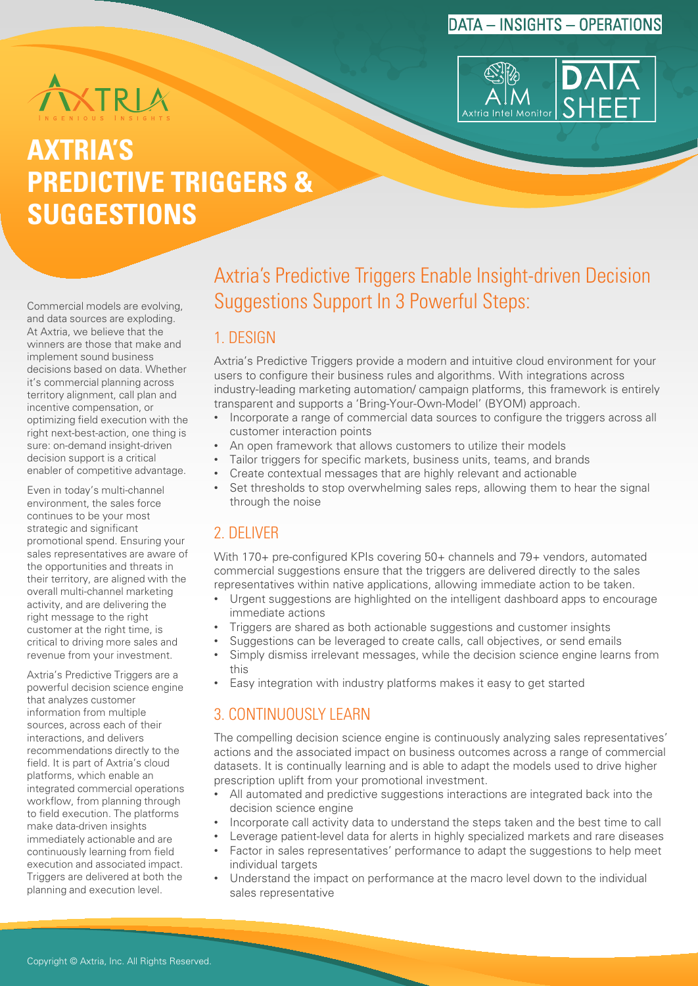## DATA – INSIGHTS – OPERATIONS





# **AXTRIA'S PREDICTIVE TRIGGERS & SUGGESTIONS**

Commercial models are evolving, and data sources are exploding. At Axtria, we believe that the winners are those that make and implement sound business decisions based on data. Whether it's commercial planning across territory alignment, call plan and incentive compensation, or optimizing field execution with the right next-best-action, one thing is sure: on-demand insight-driven decision support is a critical enabler of competitive advantage.

Even in today's multi-channel environment, the sales force continues to be your most strategic and significant promotional spend. Ensuring your sales representatives are aware of the opportunities and threats in their territory, are aligned with the overall multi-channel marketing activity, and are delivering the right message to the right customer at the right time, is critical to driving more sales and revenue from your investment.

Axtria's Predictive Triggers are a powerful decision science engine that analyzes customer information from multiple sources, across each of their interactions, and delivers recommendations directly to the field. It is part of Axtria's cloud platforms, which enable an integrated commercial operations workflow, from planning through to field execution. The platforms make data-driven insights immediately actionable and are continuously learning from field execution and associated impact. Triggers are delivered at both the planning and execution level.

## Axtria's Predictive Triggers Enable Insight-driven Decision Suggestions Support In 3 Powerful Steps:

### 1. DESIGN

Axtria's Predictive Triggers provide a modern and intuitive cloud environment for your users to configure their business rules and algorithms. With integrations across industry-leading marketing automation/ campaign platforms, this framework is entirely transparent and supports a 'Bring-Your-Own-Model' (BYOM) approach.

- Incorporate a range of commercial data sources to configure the triggers across all customer interaction points
- An open framework that allows customers to utilize their models
- Tailor triggers for specific markets, business units, teams, and brands
- Create contextual messages that are highly relevant and actionable
- Set thresholds to stop overwhelming sales reps, allowing them to hear the signal through the noise

## 2. DELIVER

With 170+ pre-configured KPIs covering 50+ channels and 79+ vendors, automated commercial suggestions ensure that the triggers are delivered directly to the sales representatives within native applications, allowing immediate action to be taken.

- Urgent suggestions are highlighted on the intelligent dashboard apps to encourage immediate actions
- Triggers are shared as both actionable suggestions and customer insights
- Suggestions can be leveraged to create calls, call objectives, or send emails
- Simply dismiss irrelevant messages, while the decision science engine learns from this
- Easy integration with industry platforms makes it easy to get started

## 3. CONTINUOUSLY LEARN

The compelling decision science engine is continuously analyzing sales representatives' actions and the associated impact on business outcomes across a range of commercial datasets. It is continually learning and is able to adapt the models used to drive higher prescription uplift from your promotional investment.

- All automated and predictive suggestions interactions are integrated back into the decision science engine
- Incorporate call activity data to understand the steps taken and the best time to call
- Leverage patient-level data for alerts in highly specialized markets and rare diseases
	- Factor in sales representatives' performance to adapt the suggestions to help meet individual targets
- Understand the impact on performance at the macro level down to the individual sales representative